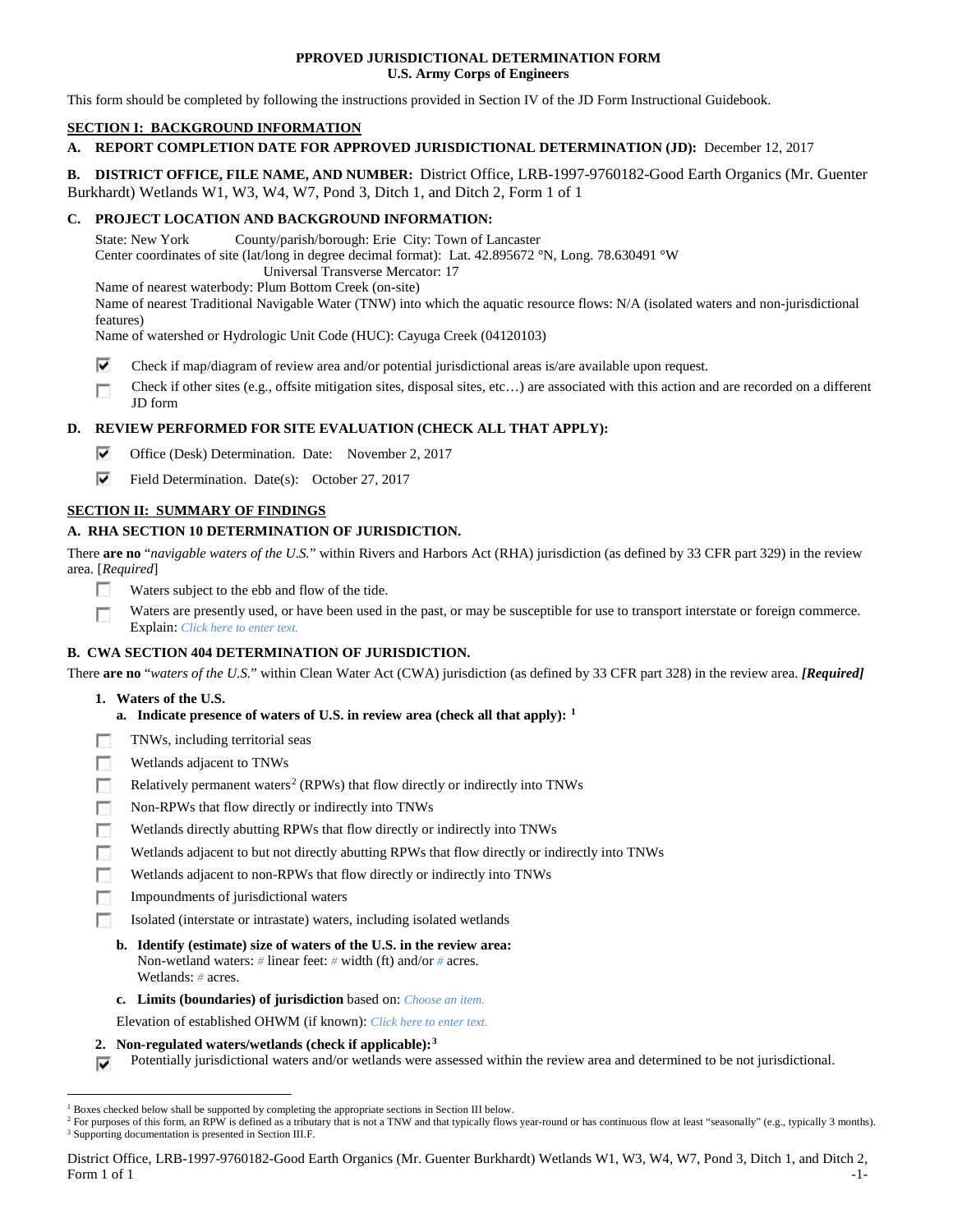### **PPROVED JURISDICTIONAL DETERMINATION FORM U.S. Army Corps of Engineers**

This form should be completed by following the instructions provided in Section IV of the JD Form Instructional Guidebook.

## **SECTION I: BACKGROUND INFORMATION**

## **A. REPORT COMPLETION DATE FOR APPROVED JURISDICTIONAL DETERMINATION (JD):** December 12, 2017

**B. DISTRICT OFFICE, FILE NAME, AND NUMBER:** District Office, LRB-1997-9760182-Good Earth Organics (Mr. Guenter Burkhardt) Wetlands W1, W3, W4, W7, Pond 3, Ditch 1, and Ditch 2, Form 1 of 1

## **C. PROJECT LOCATION AND BACKGROUND INFORMATION:**

State: New York County/parish/borough: Erie City: Town of Lancaster

Center coordinates of site (lat/long in degree decimal format): Lat. 42.895672 °N, Long. 78.630491 °W

Universal Transverse Mercator: 17

Name of nearest waterbody: Plum Bottom Creek (on-site)

Name of nearest Traditional Navigable Water (TNW) into which the aquatic resource flows: N/A (isolated waters and non-jurisdictional features)

Name of watershed or Hydrologic Unit Code (HUC): Cayuga Creek (04120103)

- ⊽ Check if map/diagram of review area and/or potential jurisdictional areas is/are available upon request.
- Check if other sites (e.g., offsite mitigation sites, disposal sites, etc…) are associated with this action and are recorded on a different m JD form

# **D. REVIEW PERFORMED FOR SITE EVALUATION (CHECK ALL THAT APPLY):**

- ⊽ Office (Desk) Determination. Date: November 2, 2017
- ⊽ Field Determination. Date(s): October 27, 2017

# **SECTION II: SUMMARY OF FINDINGS**

# **A. RHA SECTION 10 DETERMINATION OF JURISDICTION.**

There **are no** "*navigable waters of the U.S.*" within Rivers and Harbors Act (RHA) jurisdiction (as defined by 33 CFR part 329) in the review area. [*Required*]

- П Waters subject to the ebb and flow of the tide.
- г Waters are presently used, or have been used in the past, or may be susceptible for use to transport interstate or foreign commerce. Explain: *Click here to enter text.*

# **B. CWA SECTION 404 DETERMINATION OF JURISDICTION.**

There **are no** "*waters of the U.S.*" within Clean Water Act (CWA) jurisdiction (as defined by 33 CFR part 328) in the review area. *[Required]*

- **1. Waters of the U.S.**
	- **a. Indicate presence of waters of U.S. in review area (check all that apply): [1](#page-0-0)**
- г TNWs, including territorial seas
- г Wetlands adjacent to TNWs
- п Relatively permanent waters<sup>[2](#page-0-1)</sup> (RPWs) that flow directly or indirectly into TNWs
- Е Non-RPWs that flow directly or indirectly into TNWs
- Wetlands directly abutting RPWs that flow directly or indirectly into TNWs
- п Wetlands adjacent to but not directly abutting RPWs that flow directly or indirectly into TNWs
- п Wetlands adjacent to non-RPWs that flow directly or indirectly into TNWs
- Impoundments of jurisdictional waters n
- Isolated (interstate or intrastate) waters, including isolated wetlands
- **b. Identify (estimate) size of waters of the U.S. in the review area:** Non-wetland waters: *#* linear feet: *#* width (ft) and/or *#* acres. Wetlands: *#* acres.
- **c. Limits (boundaries) of jurisdiction** based on: *Choose an item.*
- Elevation of established OHWM (if known): *Click here to enter text.*
- **2. Non-regulated waters/wetlands (check if applicable):[3](#page-0-2)**
- Potentially jurisdictional waters and/or wetlands were assessed within the review area and determined to be not jurisdictional. ⊽

District Office, LRB-1997-9760182-Good Earth Organics (Mr. Guenter Burkhardt) Wetlands W1, W3, W4, W7, Pond 3, Ditch 1, and Ditch 2, Form 1 of 1  $-1$ - $-1$ 

<span id="page-0-1"></span><span id="page-0-0"></span><sup>&</sup>lt;sup>1</sup> Boxes checked below shall be supported by completing the appropriate sections in Section III below.

<span id="page-0-2"></span><sup>&</sup>lt;sup>2</sup> For purposes of this form, an RPW is defined as a tributary that is not a TNW and that typically flows year-round or has continuous flow at least "seasonally" (e.g., typically 3 months). <sup>3</sup> Supporting documentation is presented in Section III.F.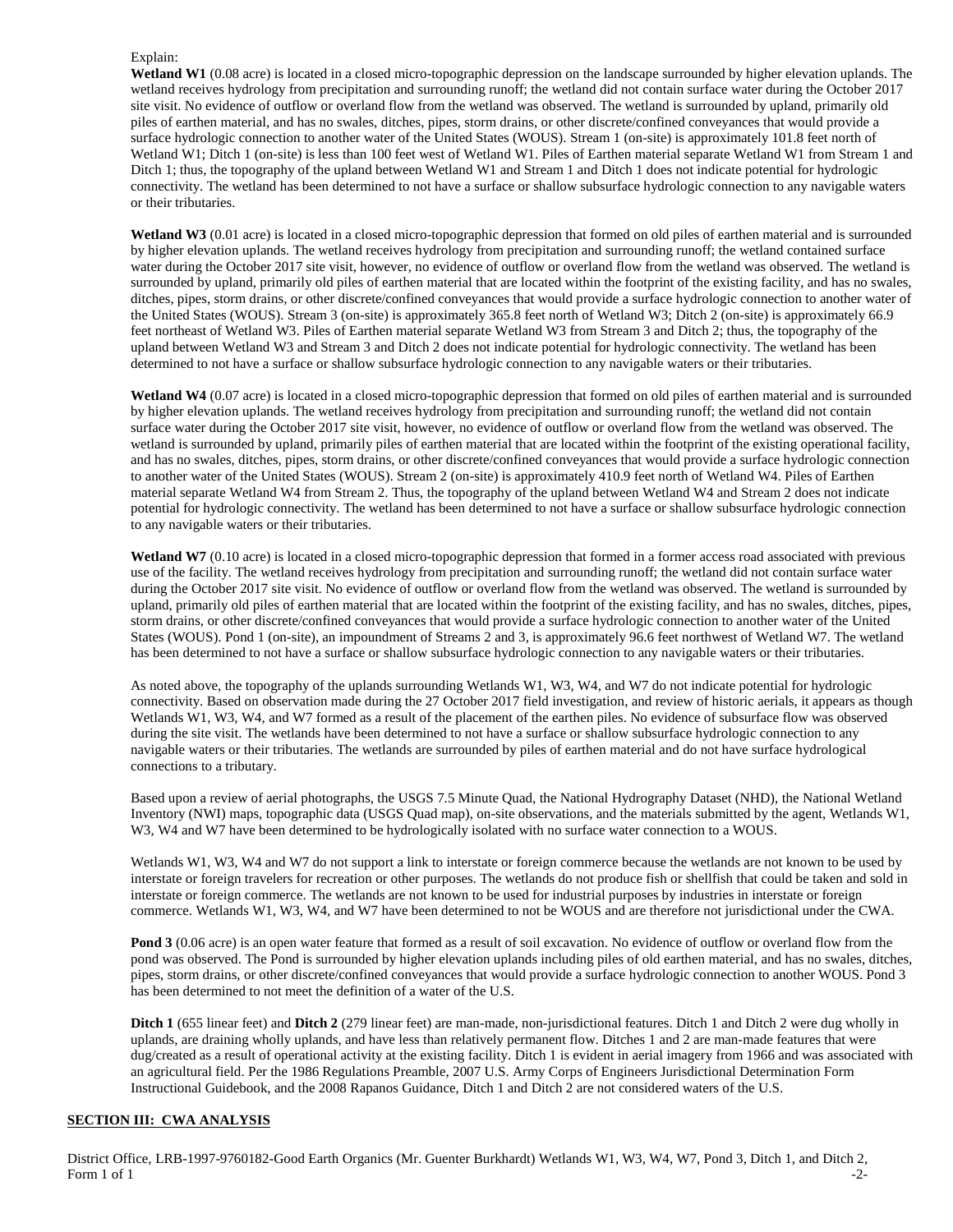#### Explain:

**Wetland W1** (0.08 acre) is located in a closed micro-topographic depression on the landscape surrounded by higher elevation uplands. The wetland receives hydrology from precipitation and surrounding runoff; the wetland did not contain surface water during the October 2017 site visit. No evidence of outflow or overland flow from the wetland was observed. The wetland is surrounded by upland, primarily old piles of earthen material, and has no swales, ditches, pipes, storm drains, or other discrete/confined conveyances that would provide a surface hydrologic connection to another water of the United States (WOUS). Stream 1 (on-site) is approximately 101.8 feet north of Wetland W1; Ditch 1 (on-site) is less than 100 feet west of Wetland W1. Piles of Earthen material separate Wetland W1 from Stream 1 and Ditch 1; thus, the topography of the upland between Wetland W1 and Stream 1 and Ditch 1 does not indicate potential for hydrologic connectivity. The wetland has been determined to not have a surface or shallow subsurface hydrologic connection to any navigable waters or their tributaries.

Wetland W3 (0.01 acre) is located in a closed micro-topographic depression that formed on old piles of earthen material and is surrounded by higher elevation uplands. The wetland receives hydrology from precipitation and surrounding runoff; the wetland contained surface water during the October 2017 site visit, however, no evidence of outflow or overland flow from the wetland was observed. The wetland is surrounded by upland, primarily old piles of earthen material that are located within the footprint of the existing facility, and has no swales, ditches, pipes, storm drains, or other discrete/confined conveyances that would provide a surface hydrologic connection to another water of the United States (WOUS). Stream 3 (on-site) is approximately 365.8 feet north of Wetland W3; Ditch 2 (on-site) is approximately 66.9 feet northeast of Wetland W3. Piles of Earthen material separate Wetland W3 from Stream 3 and Ditch 2; thus, the topography of the upland between Wetland W3 and Stream 3 and Ditch 2 does not indicate potential for hydrologic connectivity. The wetland has been determined to not have a surface or shallow subsurface hydrologic connection to any navigable waters or their tributaries.

**Wetland W4** (0.07 acre) is located in a closed micro-topographic depression that formed on old piles of earthen material and is surrounded by higher elevation uplands. The wetland receives hydrology from precipitation and surrounding runoff; the wetland did not contain surface water during the October 2017 site visit, however, no evidence of outflow or overland flow from the wetland was observed. The wetland is surrounded by upland, primarily piles of earthen material that are located within the footprint of the existing operational facility, and has no swales, ditches, pipes, storm drains, or other discrete/confined conveyances that would provide a surface hydrologic connection to another water of the United States (WOUS). Stream 2 (on-site) is approximately 410.9 feet north of Wetland W4. Piles of Earthen material separate Wetland W4 from Stream 2. Thus, the topography of the upland between Wetland W4 and Stream 2 does not indicate potential for hydrologic connectivity. The wetland has been determined to not have a surface or shallow subsurface hydrologic connection to any navigable waters or their tributaries.

Wetland W7 (0.10 acre) is located in a closed micro-topographic depression that formed in a former access road associated with previous use of the facility. The wetland receives hydrology from precipitation and surrounding runoff; the wetland did not contain surface water during the October 2017 site visit. No evidence of outflow or overland flow from the wetland was observed. The wetland is surrounded by upland, primarily old piles of earthen material that are located within the footprint of the existing facility, and has no swales, ditches, pipes, storm drains, or other discrete/confined conveyances that would provide a surface hydrologic connection to another water of the United States (WOUS). Pond 1 (on-site), an impoundment of Streams 2 and 3, is approximately 96.6 feet northwest of Wetland W7. The wetland has been determined to not have a surface or shallow subsurface hydrologic connection to any navigable waters or their tributaries.

As noted above, the topography of the uplands surrounding Wetlands W1, W3, W4, and W7 do not indicate potential for hydrologic connectivity. Based on observation made during the 27 October 2017 field investigation, and review of historic aerials, it appears as though Wetlands W1, W3, W4, and W7 formed as a result of the placement of the earthen piles. No evidence of subsurface flow was observed during the site visit. The wetlands have been determined to not have a surface or shallow subsurface hydrologic connection to any navigable waters or their tributaries. The wetlands are surrounded by piles of earthen material and do not have surface hydrological connections to a tributary.

Based upon a review of aerial photographs, the USGS 7.5 Minute Quad, the National Hydrography Dataset (NHD), the National Wetland Inventory (NWI) maps, topographic data (USGS Quad map), on-site observations, and the materials submitted by the agent, Wetlands W1, W3, W4 and W7 have been determined to be hydrologically isolated with no surface water connection to a WOUS.

Wetlands W1, W3, W4 and W7 do not support a link to interstate or foreign commerce because the wetlands are not known to be used by interstate or foreign travelers for recreation or other purposes. The wetlands do not produce fish or shellfish that could be taken and sold in interstate or foreign commerce. The wetlands are not known to be used for industrial purposes by industries in interstate or foreign commerce. Wetlands W1, W3, W4, and W7 have been determined to not be WOUS and are therefore not jurisdictional under the CWA.

**Pond 3** (0.06 acre) is an open water feature that formed as a result of soil excavation. No evidence of outflow or overland flow from the pond was observed. The Pond is surrounded by higher elevation uplands including piles of old earthen material, and has no swales, ditches, pipes, storm drains, or other discrete/confined conveyances that would provide a surface hydrologic connection to another WOUS. Pond 3 has been determined to not meet the definition of a water of the U.S.

**Ditch 1** (655 linear feet) and **Ditch 2** (279 linear feet) are man-made, non-jurisdictional features. Ditch 1 and Ditch 2 were dug wholly in uplands, are draining wholly uplands, and have less than relatively permanent flow. Ditches 1 and 2 are man-made features that were dug/created as a result of operational activity at the existing facility. Ditch 1 is evident in aerial imagery from 1966 and was associated with an agricultural field. Per the 1986 Regulations Preamble, 2007 U.S. Army Corps of Engineers Jurisdictional Determination Form Instructional Guidebook, and the 2008 Rapanos Guidance, Ditch 1 and Ditch 2 are not considered waters of the U.S.

## **SECTION III: CWA ANALYSIS**

District Office, LRB-1997-9760182-Good Earth Organics (Mr. Guenter Burkhardt) Wetlands W1, W3, W4, W7, Pond 3, Ditch 1, and Ditch 2, Form 1 of 1  $-2$ -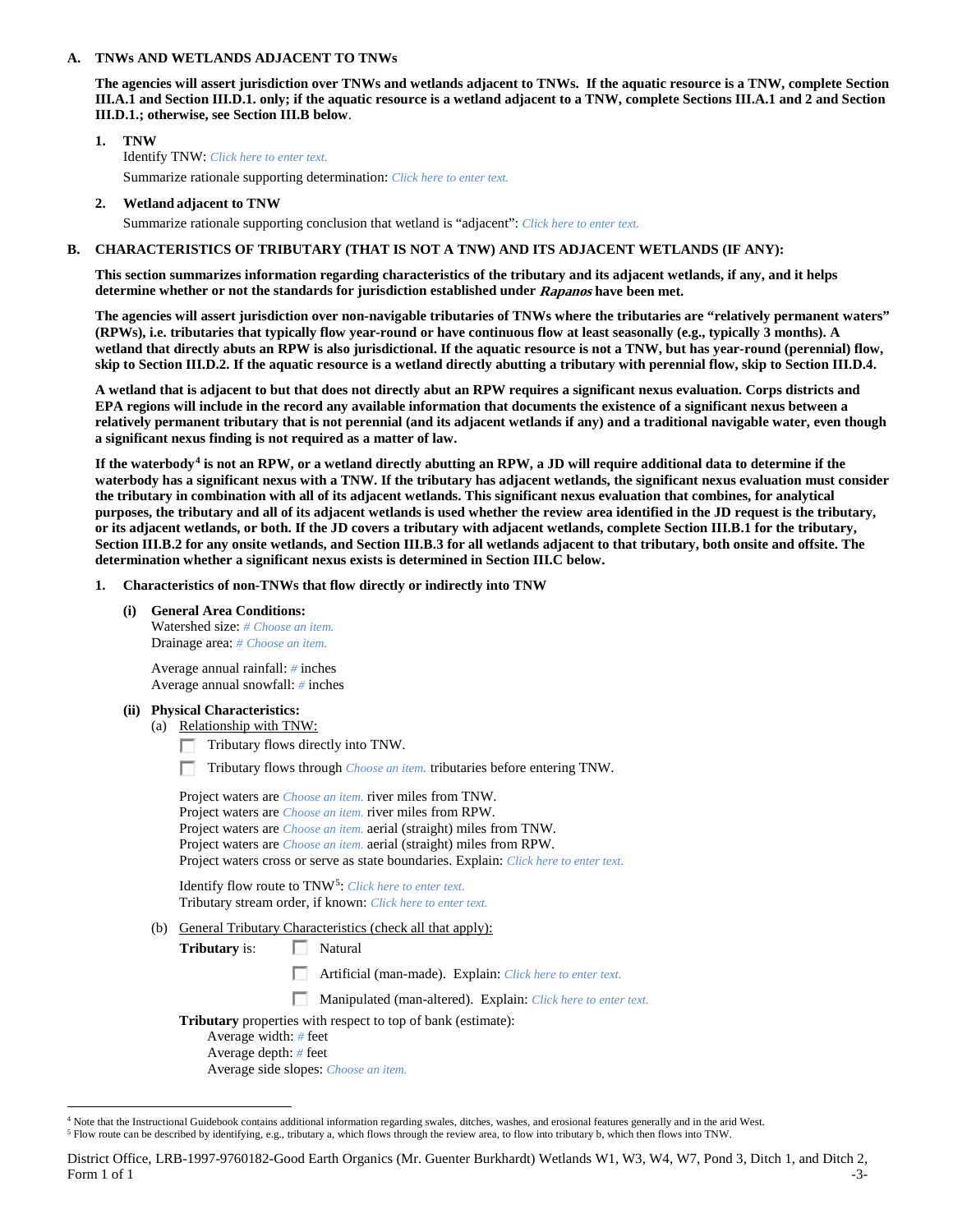#### **A. TNWs AND WETLANDS ADJACENT TO TNWs**

**The agencies will assert jurisdiction over TNWs and wetlands adjacent to TNWs. If the aquatic resource is a TNW, complete Section III.A.1 and Section III.D.1. only; if the aquatic resource is a wetland adjacent to a TNW, complete Sections III.A.1 and 2 and Section III.D.1.; otherwise, see Section III.B below**.

- **1. TNW**  Identify TNW: *Click here to enter text.* Summarize rationale supporting determination: *Click here to enter text.*
- **2. Wetland adjacent to TNW**

Summarize rationale supporting conclusion that wetland is "adjacent": *Click here to enter text.*

### **B. CHARACTERISTICS OF TRIBUTARY (THAT IS NOT A TNW) AND ITS ADJACENT WETLANDS (IF ANY):**

**This section summarizes information regarding characteristics of the tributary and its adjacent wetlands, if any, and it helps determine whether or not the standards for jurisdiction established under Rapanos have been met.** 

**The agencies will assert jurisdiction over non-navigable tributaries of TNWs where the tributaries are "relatively permanent waters" (RPWs), i.e. tributaries that typically flow year-round or have continuous flow at least seasonally (e.g., typically 3 months). A wetland that directly abuts an RPW is also jurisdictional. If the aquatic resource is not a TNW, but has year-round (perennial) flow, skip to Section III.D.2. If the aquatic resource is a wetland directly abutting a tributary with perennial flow, skip to Section III.D.4.**

**A wetland that is adjacent to but that does not directly abut an RPW requires a significant nexus evaluation. Corps districts and EPA regions will include in the record any available information that documents the existence of a significant nexus between a relatively permanent tributary that is not perennial (and its adjacent wetlands if any) and a traditional navigable water, even though a significant nexus finding is not required as a matter of law.**

**If the waterbody[4](#page-2-0) is not an RPW, or a wetland directly abutting an RPW, a JD will require additional data to determine if the waterbody has a significant nexus with a TNW. If the tributary has adjacent wetlands, the significant nexus evaluation must consider the tributary in combination with all of its adjacent wetlands. This significant nexus evaluation that combines, for analytical purposes, the tributary and all of its adjacent wetlands is used whether the review area identified in the JD request is the tributary, or its adjacent wetlands, or both. If the JD covers a tributary with adjacent wetlands, complete Section III.B.1 for the tributary, Section III.B.2 for any onsite wetlands, and Section III.B.3 for all wetlands adjacent to that tributary, both onsite and offsite. The determination whether a significant nexus exists is determined in Section III.C below.**

- **1. Characteristics of non-TNWs that flow directly or indirectly into TNW**
	- **(i) General Area Conditions:** Watershed size: *# Choose an item.* Drainage area: *# Choose an item.*

Average annual rainfall: *#* inches Average annual snowfall: *#* inches

- **(ii) Physical Characteristics:**
	- (a) Relationship with TNW:
		- m. Tributary flows directly into TNW.
		- Tributary flows through *Choose an item.* tributaries before entering TNW.

| Project waters are <i>Choose an item</i> , river miles from TNW.                      |
|---------------------------------------------------------------------------------------|
| Project waters are <i>Choose an item</i> , river miles from RPW.                      |
| Project waters are <i>Choose an item.</i> aerial (straight) miles from TNW.           |
| Project waters are <i>Choose an item.</i> aerial (straight) miles from RPW.           |
| Project waters cross or serve as state boundaries. Explain: Click here to enter text. |
|                                                                                       |

Identify flow route to TNW[5:](#page-2-1) *Click here to enter text.* Tributary stream order, if known: *Click here to enter text.*

(b) General Tributary Characteristics (check all that apply):

**Tributary** is: Natural

- n Artificial (man-made). Explain: *Click here to enter text.*
- Manipulated (man-altered). Explain: *Click here to enter text.*
- **Tributary** properties with respect to top of bank (estimate):
	- Average width: *#* feet Average depth: *#* feet Average side slopes: *Choose an item.*

<span id="page-2-1"></span><span id="page-2-0"></span><sup>&</sup>lt;sup>4</sup> Note that the Instructional Guidebook contains additional information regarding swales, ditches, washes, and erosional features generally and in the arid West. <sup>5</sup> Flow route can be described by identifying, e.g., tributary a, which flows through the review area, to flow into tributary b, which then flows into TNW.

District Office, LRB-1997-9760182-Good Earth Organics (Mr. Guenter Burkhardt) Wetlands W1, W3, W4, W7, Pond 3, Ditch 1, and Ditch 2, Form 1 of 1  $-3$ -3-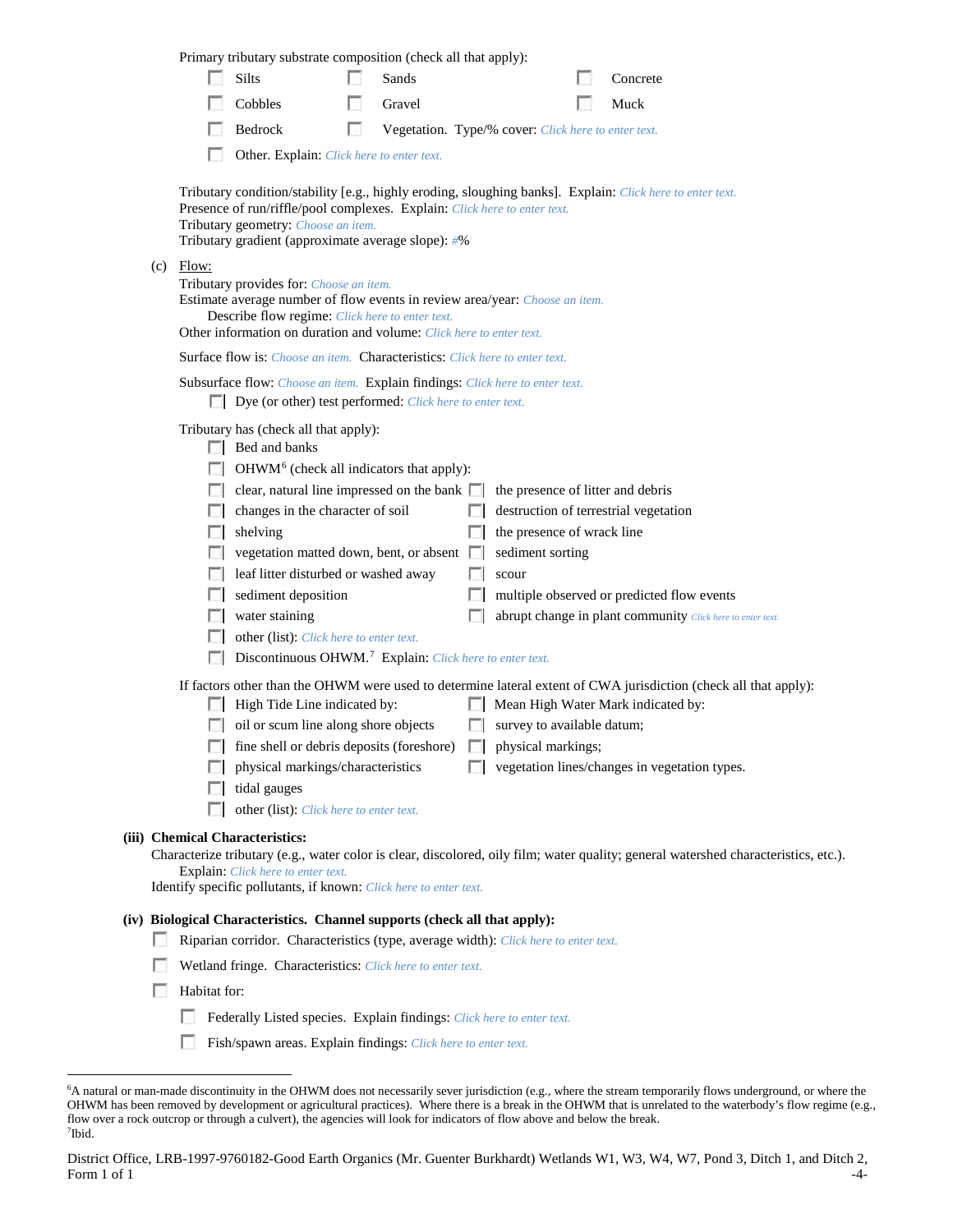|                                                                            |                                                                                                                                                                                                                                                                                          | Primary tributary substrate composition (check all that apply):                                                                                                                                                                                                                                                                                                                                                                                                                                                                                                                                                                                                                                                            |   |                                                     |  |                           |                                                          |                                                                                                                                                                                                                                                                                                                                                                                                   |  |  |  |
|----------------------------------------------------------------------------|------------------------------------------------------------------------------------------------------------------------------------------------------------------------------------------------------------------------------------------------------------------------------------------|----------------------------------------------------------------------------------------------------------------------------------------------------------------------------------------------------------------------------------------------------------------------------------------------------------------------------------------------------------------------------------------------------------------------------------------------------------------------------------------------------------------------------------------------------------------------------------------------------------------------------------------------------------------------------------------------------------------------------|---|-----------------------------------------------------|--|---------------------------|----------------------------------------------------------|---------------------------------------------------------------------------------------------------------------------------------------------------------------------------------------------------------------------------------------------------------------------------------------------------------------------------------------------------------------------------------------------------|--|--|--|
|                                                                            |                                                                                                                                                                                                                                                                                          | Silts                                                                                                                                                                                                                                                                                                                                                                                                                                                                                                                                                                                                                                                                                                                      |   | Sands                                               |  |                           |                                                          | Concrete                                                                                                                                                                                                                                                                                                                                                                                          |  |  |  |
|                                                                            |                                                                                                                                                                                                                                                                                          | Cobbles                                                                                                                                                                                                                                                                                                                                                                                                                                                                                                                                                                                                                                                                                                                    |   | Gravel                                              |  |                           |                                                          | Muck                                                                                                                                                                                                                                                                                                                                                                                              |  |  |  |
|                                                                            |                                                                                                                                                                                                                                                                                          | Bedrock                                                                                                                                                                                                                                                                                                                                                                                                                                                                                                                                                                                                                                                                                                                    | n | Vegetation. Type/% cover: Click here to enter text. |  |                           |                                                          |                                                                                                                                                                                                                                                                                                                                                                                                   |  |  |  |
|                                                                            | Other. Explain: Click here to enter text.                                                                                                                                                                                                                                                |                                                                                                                                                                                                                                                                                                                                                                                                                                                                                                                                                                                                                                                                                                                            |   |                                                     |  |                           |                                                          |                                                                                                                                                                                                                                                                                                                                                                                                   |  |  |  |
|                                                                            |                                                                                                                                                                                                                                                                                          | Presence of run/riffle/pool complexes. Explain: Click here to enter text.<br>Tributary geometry: Choose an item.<br>Tributary gradient (approximate average slope): #%                                                                                                                                                                                                                                                                                                                                                                                                                                                                                                                                                     |   |                                                     |  |                           |                                                          | Tributary condition/stability [e.g., highly eroding, sloughing banks]. Explain: Click here to enter text.                                                                                                                                                                                                                                                                                         |  |  |  |
| (c)                                                                        | Flow:<br>Tributary provides for: Choose an item.<br>Estimate average number of flow events in review area/year: Choose an item.<br>Describe flow regime: Click here to enter text.<br>Other information on duration and volume: Click here to enter text.                                |                                                                                                                                                                                                                                                                                                                                                                                                                                                                                                                                                                                                                                                                                                                            |   |                                                     |  |                           |                                                          |                                                                                                                                                                                                                                                                                                                                                                                                   |  |  |  |
|                                                                            |                                                                                                                                                                                                                                                                                          | Surface flow is: Choose an item. Characteristics: Click here to enter text.                                                                                                                                                                                                                                                                                                                                                                                                                                                                                                                                                                                                                                                |   |                                                     |  |                           |                                                          |                                                                                                                                                                                                                                                                                                                                                                                                   |  |  |  |
|                                                                            | Subsurface flow: Choose an item. Explain findings: Click here to enter text.<br>Dye (or other) test performed: Click here to enter text.                                                                                                                                                 |                                                                                                                                                                                                                                                                                                                                                                                                                                                                                                                                                                                                                                                                                                                            |   |                                                     |  |                           |                                                          |                                                                                                                                                                                                                                                                                                                                                                                                   |  |  |  |
|                                                                            | L.<br>$\mathbf{L}$<br>L.<br><b>In the case</b><br>$\sim$                                                                                                                                                                                                                                 | Tributary has (check all that apply):<br>$\Box$ Bed and banks<br>OHWM <sup>6</sup> (check all indicators that apply):<br>clear, natural line impressed on the bank $\Box$<br>changes in the character of soil<br>shelving<br>vegetation matted down, bent, or absent $\Box$<br>leaf litter disturbed or washed away<br>sediment deposition<br>water staining<br>other (list): Click here to enter text.<br>Discontinuous OHWM. <sup>7</sup> Explain: Click here to enter text.<br>High Tide Line indicated by:<br>oil or scum line along shore objects<br>□ fine shell or debris deposits (foreshore) □ physical markings;<br>physical markings/characteristics<br>tidal gauges<br>other (list): Click here to enter text. |   |                                                     |  | sediment sorting<br>scour | the presence of wrack line<br>survey to available datum; | the presence of litter and debris<br>destruction of terrestrial vegetation<br>multiple observed or predicted flow events<br>abrupt change in plant community Click here to enter text.<br>If factors other than the OHWM were used to determine lateral extent of CWA jurisdiction (check all that apply):<br>Mean High Water Mark indicated by:<br>vegetation lines/changes in vegetation types. |  |  |  |
|                                                                            | (iii) Chemical Characteristics:<br>Characterize tributary (e.g., water color is clear, discolored, oily film; water quality; general watershed characteristics, etc.).<br><b>Explain:</b> Click here to enter text.<br>Identify specific pollutants, if known: Click here to enter text. |                                                                                                                                                                                                                                                                                                                                                                                                                                                                                                                                                                                                                                                                                                                            |   |                                                     |  |                           |                                                          |                                                                                                                                                                                                                                                                                                                                                                                                   |  |  |  |
|                                                                            | (iv) Biological Characteristics. Channel supports (check all that apply):                                                                                                                                                                                                                |                                                                                                                                                                                                                                                                                                                                                                                                                                                                                                                                                                                                                                                                                                                            |   |                                                     |  |                           |                                                          |                                                                                                                                                                                                                                                                                                                                                                                                   |  |  |  |
|                                                                            | Riparian corridor. Characteristics (type, average width): Click here to enter text.                                                                                                                                                                                                      |                                                                                                                                                                                                                                                                                                                                                                                                                                                                                                                                                                                                                                                                                                                            |   |                                                     |  |                           |                                                          |                                                                                                                                                                                                                                                                                                                                                                                                   |  |  |  |
|                                                                            | Wetland fringe. Characteristics: Click here to enter text.                                                                                                                                                                                                                               |                                                                                                                                                                                                                                                                                                                                                                                                                                                                                                                                                                                                                                                                                                                            |   |                                                     |  |                           |                                                          |                                                                                                                                                                                                                                                                                                                                                                                                   |  |  |  |
|                                                                            | Habitat for:                                                                                                                                                                                                                                                                             |                                                                                                                                                                                                                                                                                                                                                                                                                                                                                                                                                                                                                                                                                                                            |   |                                                     |  |                           |                                                          |                                                                                                                                                                                                                                                                                                                                                                                                   |  |  |  |
| Federally Listed species. Explain findings: Click here to enter text.<br>u |                                                                                                                                                                                                                                                                                          |                                                                                                                                                                                                                                                                                                                                                                                                                                                                                                                                                                                                                                                                                                                            |   |                                                     |  |                           |                                                          |                                                                                                                                                                                                                                                                                                                                                                                                   |  |  |  |
|                                                                            |                                                                                                                                                                                                                                                                                          | Fish/spawn areas. Explain findings: Click here to enter text.                                                                                                                                                                                                                                                                                                                                                                                                                                                                                                                                                                                                                                                              |   |                                                     |  |                           |                                                          |                                                                                                                                                                                                                                                                                                                                                                                                   |  |  |  |

<span id="page-3-1"></span><span id="page-3-0"></span> <sup>6</sup> <sup>6</sup>A natural or man-made discontinuity in the OHWM does not necessarily sever jurisdiction (e.g., where the stream temporarily flows underground, or where the OHWM has been removed by development or agricultural practices). Where there is a break in the OHWM that is unrelated to the waterbody's flow regime (e.g., flow over a rock outcrop or through a culvert), the agencies will look for indicators of flow above and below the break. 7 Ibid.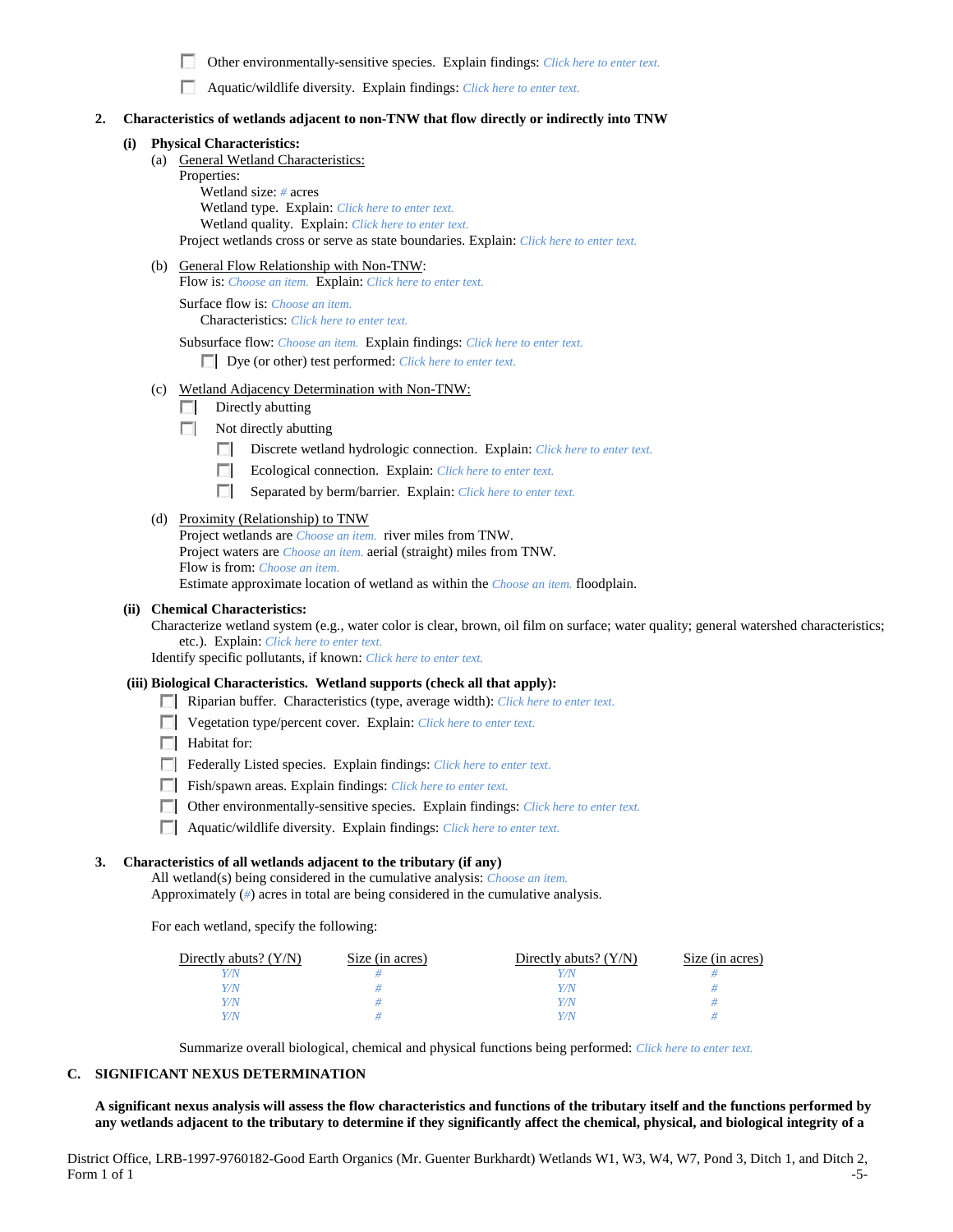п Other environmentally-sensitive species. Explain findings: *Click here to enter text.*

Aquatic/wildlife diversity. Explain findings: *Click here to enter text.*

### **2. Characteristics of wetlands adjacent to non-TNW that flow directly or indirectly into TNW**

#### **(i) Physical Characteristics:**

- (a) General Wetland Characteristics:
	- Properties:

Wetland size: *#* acres Wetland type. Explain: *Click here to enter text.* Wetland quality. Explain: *Click here to enter text.* Project wetlands cross or serve as state boundaries. Explain: *Click here to enter text.*

(b) General Flow Relationship with Non-TNW:

Flow is: *Choose an item.* Explain: *Click here to enter text.*

Surface flow is: *Choose an item.* Characteristics: *Click here to enter text.*

Subsurface flow: *Choose an item.* Explain findings: *Click here to enter text.*

Dye (or other) test performed: *Click here to enter text.*

- (c) Wetland Adjacency Determination with Non-TNW:
	- $\Box$  Directly abutting
	- Not directly abutting
		- **1999** Discrete wetland hydrologic connection. Explain: *Click here to enter text.*
		- **The Company** Ecological connection. Explain: *Click here to enter text.*
		- $\mathcal{L}$ Separated by berm/barrier. Explain: *Click here to enter text.*

#### (d) Proximity (Relationship) to TNW

Project wetlands are *Choose an item.* river miles from TNW. Project waters are *Choose an item.* aerial (straight) miles from TNW. Flow is from: *Choose an item.* Estimate approximate location of wetland as within the *Choose an item.* floodplain.

#### **(ii) Chemical Characteristics:**

Characterize wetland system (e.g., water color is clear, brown, oil film on surface; water quality; general watershed characteristics; etc.). Explain: *Click here to enter text.*

Identify specific pollutants, if known: *Click here to enter text.*

#### **(iii) Biological Characteristics. Wetland supports (check all that apply):**

- Riparian buffer. Characteristics (type, average width): *Click here to enter text.*
- Vegetation type/percent cover. Explain: *Click here to enter text.*
- $\Box$  Habitat for:
- Federally Listed species. Explain findings: *Click here to enter text*.
- Fish/spawn areas. Explain findings: *Click here to enter text.*
- Other environmentally-sensitive species. Explain findings: *Click here to enter text.*
- Aquatic/wildlife diversity. Explain findings: *Click here to enter text.*

#### **3. Characteristics of all wetlands adjacent to the tributary (if any)**

All wetland(s) being considered in the cumulative analysis: *Choose an item.* Approximately (*#*) acres in total are being considered in the cumulative analysis.

For each wetland, specify the following:

| Directly abuts? $(Y/N)$ | Size (in acres) | Directly abuts? $(Y/N)$ | Size (in acres) |
|-------------------------|-----------------|-------------------------|-----------------|
|                         |                 |                         |                 |
| Y/N                     |                 | Y/N                     |                 |
| Y/N                     |                 | Y/N                     |                 |
|                         |                 | Y/N                     |                 |

Summarize overall biological, chemical and physical functions being performed: *Click here to enter text.*

#### **C. SIGNIFICANT NEXUS DETERMINATION**

**A significant nexus analysis will assess the flow characteristics and functions of the tributary itself and the functions performed by any wetlands adjacent to the tributary to determine if they significantly affect the chemical, physical, and biological integrity of a** 

District Office, LRB-1997-9760182-Good Earth Organics (Mr. Guenter Burkhardt) Wetlands W1, W3, W4, W7, Pond 3, Ditch 1, and Ditch 2, Form 1 of 1  $-5$ - $-5$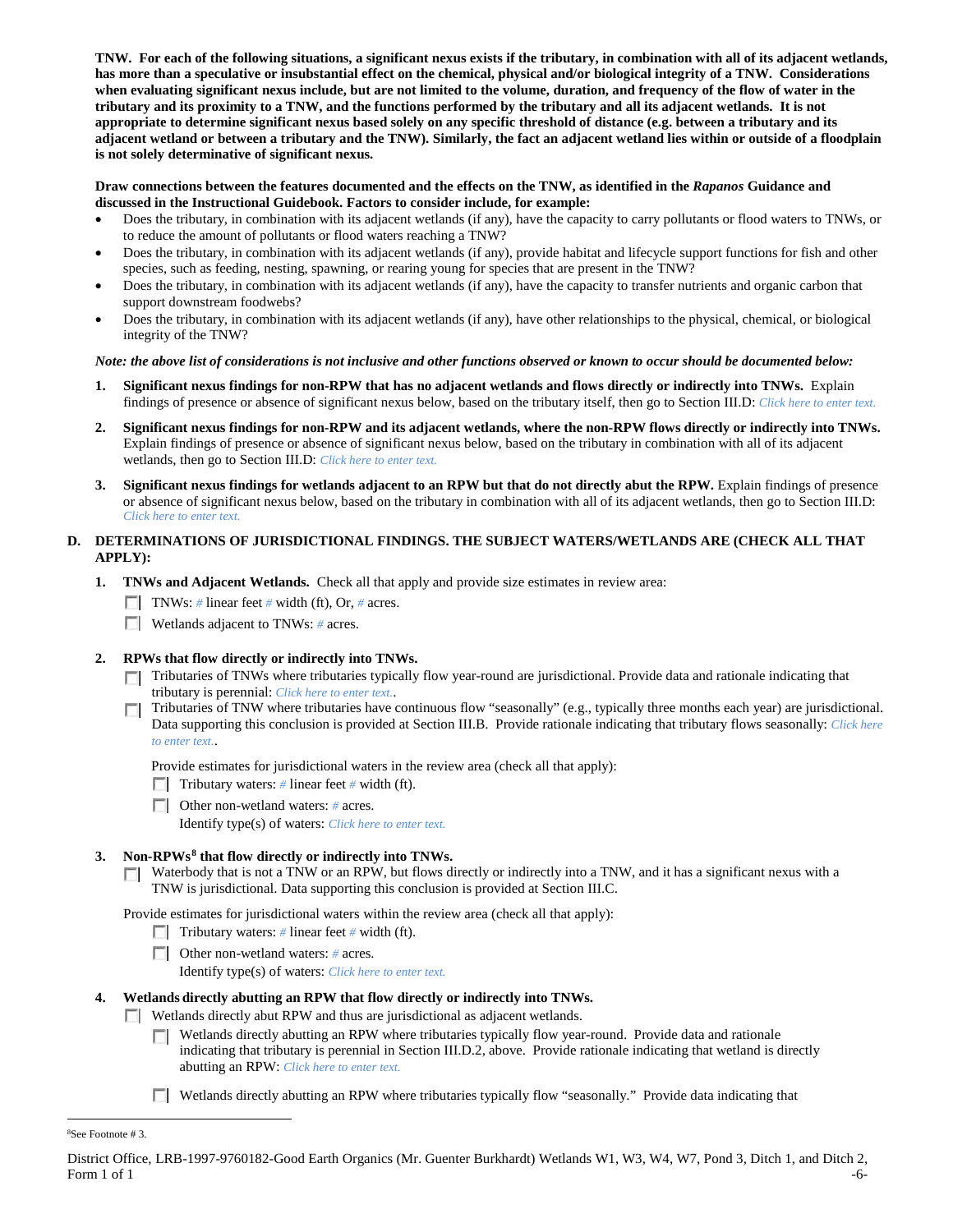**TNW. For each of the following situations, a significant nexus exists if the tributary, in combination with all of its adjacent wetlands, has more than a speculative or insubstantial effect on the chemical, physical and/or biological integrity of a TNW. Considerations when evaluating significant nexus include, but are not limited to the volume, duration, and frequency of the flow of water in the tributary and its proximity to a TNW, and the functions performed by the tributary and all its adjacent wetlands. It is not appropriate to determine significant nexus based solely on any specific threshold of distance (e.g. between a tributary and its adjacent wetland or between a tributary and the TNW). Similarly, the fact an adjacent wetland lies within or outside of a floodplain is not solely determinative of significant nexus.** 

### **Draw connections between the features documented and the effects on the TNW, as identified in the** *Rapanos* **Guidance and discussed in the Instructional Guidebook. Factors to consider include, for example:**

- Does the tributary, in combination with its adjacent wetlands (if any), have the capacity to carry pollutants or flood waters to TNWs, or to reduce the amount of pollutants or flood waters reaching a TNW?
- Does the tributary, in combination with its adjacent wetlands (if any), provide habitat and lifecycle support functions for fish and other species, such as feeding, nesting, spawning, or rearing young for species that are present in the TNW?
- Does the tributary, in combination with its adjacent wetlands (if any), have the capacity to transfer nutrients and organic carbon that support downstream foodwebs?
- Does the tributary, in combination with its adjacent wetlands (if any), have other relationships to the physical, chemical, or biological integrity of the TNW?

### *Note: the above list of considerations is not inclusive and other functions observed or known to occur should be documented below:*

- **1. Significant nexus findings for non-RPW that has no adjacent wetlands and flows directly or indirectly into TNWs.** Explain findings of presence or absence of significant nexus below, based on the tributary itself, then go to Section III.D: *Click here to enter text.*
- **2. Significant nexus findings for non-RPW and its adjacent wetlands, where the non-RPW flows directly or indirectly into TNWs.**  Explain findings of presence or absence of significant nexus below, based on the tributary in combination with all of its adjacent wetlands, then go to Section III.D: *Click here to enter text.*
- **3. Significant nexus findings for wetlands adjacent to an RPW but that do not directly abut the RPW.** Explain findings of presence or absence of significant nexus below, based on the tributary in combination with all of its adjacent wetlands, then go to Section III.D: *Click here to enter text.*

## **D. DETERMINATIONS OF JURISDICTIONAL FINDINGS. THE SUBJECT WATERS/WETLANDS ARE (CHECK ALL THAT APPLY):**

- **1. TNWs and Adjacent Wetlands.** Check all that apply and provide size estimates in review area:
	- TNWs: *#* linear feet *#* width (ft), Or, *#* acres.
	- Wetlands adjacent to TNWs: *#* acres.

## **2. RPWs that flow directly or indirectly into TNWs.**

- Tributaries of TNWs where tributaries typically flow year-round are jurisdictional. Provide data and rationale indicating that tributary is perennial: *Click here to enter text.*.
- Tributaries of TNW where tributaries have continuous flow "seasonally" (e.g., typically three months each year) are jurisdictional. Data supporting this conclusion is provided at Section III.B. Provide rationale indicating that tributary flows seasonally: *Click here to enter text.*.

Provide estimates for jurisdictional waters in the review area (check all that apply):

- **Tributary waters:** # linear feet # width (ft).
- Other non-wetland waters: *#* acres.

Identify type(s) of waters: *Click here to enter text.*

## **3. Non-RPWs[8](#page-5-0) that flow directly or indirectly into TNWs.**

Waterbody that is not a TNW or an RPW, but flows directly or indirectly into a TNW, and it has a significant nexus with a TNW is jurisdictional. Data supporting this conclusion is provided at Section III.C.

Provide estimates for jurisdictional waters within the review area (check all that apply):

- Tributary waters: # linear feet # width (ft).
- Other non-wetland waters: *#* acres.
	- Identify type(s) of waters: *Click here to enter text.*

## **4. Wetlands directly abutting an RPW that flow directly or indirectly into TNWs.**

- Wetlands directly abut RPW and thus are jurisdictional as adjacent wetlands.
	- **T** Wetlands directly abutting an RPW where tributaries typically flow year-round. Provide data and rationale indicating that tributary is perennial in Section III.D.2, above. Provide rationale indicating that wetland is directly abutting an RPW: *Click here to enter text.*
	- Wetlands directly abutting an RPW where tributaries typically flow "seasonally." Provide data indicating that

<span id="page-5-0"></span> $\frac{1}{8}$ See Footnote # 3.

District Office, LRB-1997-9760182-Good Earth Organics (Mr. Guenter Burkhardt) Wetlands W1, W3, W4, W7, Pond 3, Ditch 1, and Ditch 2, Form  $1$  of  $1$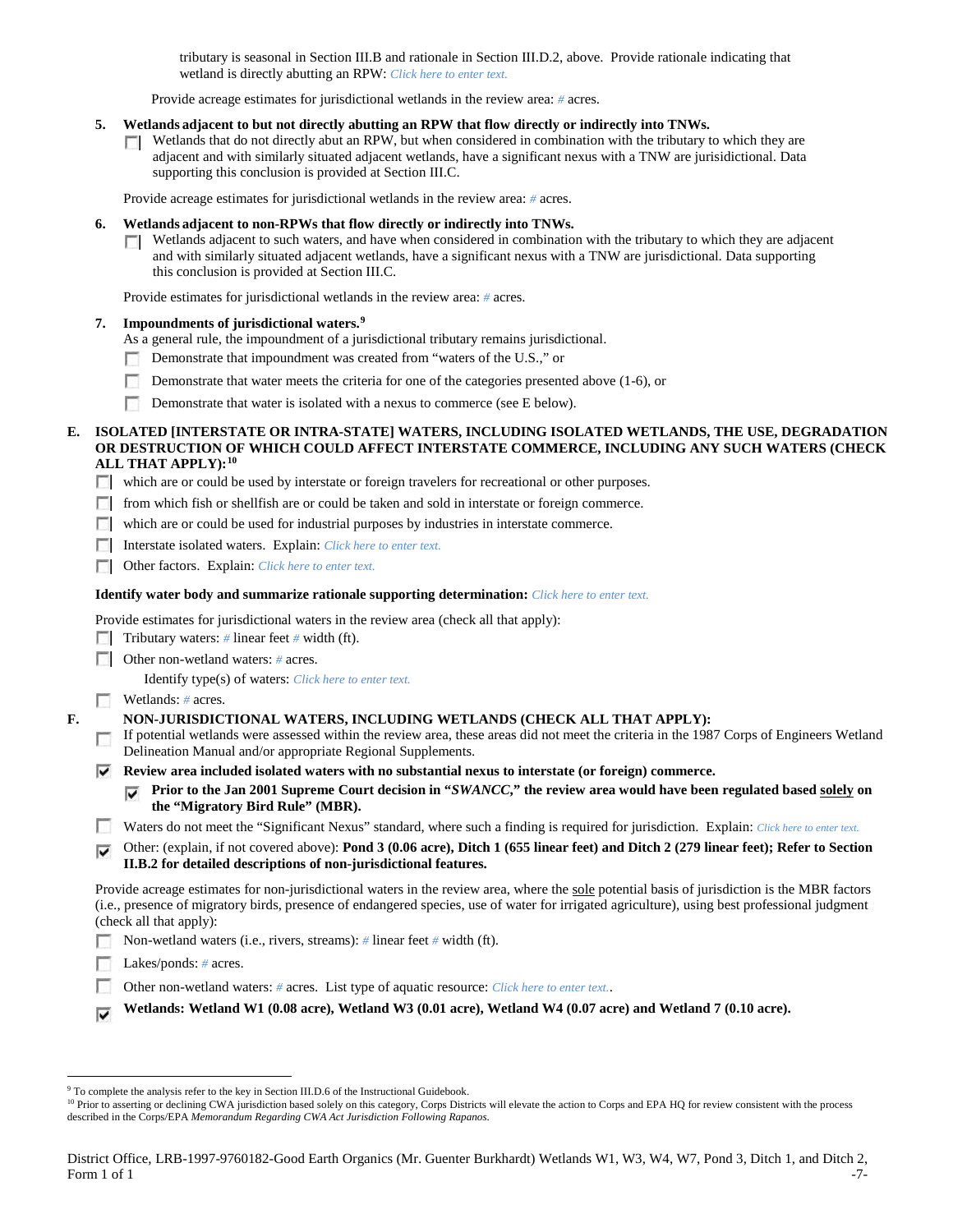tributary is seasonal in Section III.B and rationale in Section III.D.2, above. Provide rationale indicating that wetland is directly abutting an RPW: *Click here to enter text.*

Provide acreage estimates for jurisdictional wetlands in the review area: *#* acres.

#### **5. Wetlands adjacent to but not directly abutting an RPW that flow directly or indirectly into TNWs.**

 $\Box$  Wetlands that do not directly abut an RPW, but when considered in combination with the tributary to which they are adjacent and with similarly situated adjacent wetlands, have a significant nexus with a TNW are jurisidictional. Data supporting this conclusion is provided at Section III.C.

Provide acreage estimates for jurisdictional wetlands in the review area: *#* acres.

#### **6. Wetlands adjacent to non-RPWs that flow directly or indirectly into TNWs.**

 $\Box$  Wetlands adjacent to such waters, and have when considered in combination with the tributary to which they are adjacent and with similarly situated adjacent wetlands, have a significant nexus with a TNW are jurisdictional. Data supporting this conclusion is provided at Section III.C.

Provide estimates for jurisdictional wetlands in the review area: *#* acres.

#### **7. Impoundments of jurisdictional waters. [9](#page-6-0)**

As a general rule, the impoundment of a jurisdictional tributary remains jurisdictional.

- Demonstrate that impoundment was created from "waters of the U.S.," or г.
- Demonstrate that water meets the criteria for one of the categories presented above (1-6), or
- Demonstrate that water is isolated with a nexus to commerce (see E below).

#### **E. ISOLATED [INTERSTATE OR INTRA-STATE] WATERS, INCLUDING ISOLATED WETLANDS, THE USE, DEGRADATION OR DESTRUCTION OF WHICH COULD AFFECT INTERSTATE COMMERCE, INCLUDING ANY SUCH WATERS (CHECK ALL THAT APPLY):[10](#page-6-1)**

- which are or could be used by interstate or foreign travelers for recreational or other purposes.
- from which fish or shellfish are or could be taken and sold in interstate or foreign commerce.
- which are or could be used for industrial purposes by industries in interstate commerce.
- Interstate isolated waters.Explain: *Click here to enter text.*
- Other factors.Explain: *Click here to enter text.*

#### **Identify water body and summarize rationale supporting determination:** *Click here to enter text.*

Provide estimates for jurisdictional waters in the review area (check all that apply):

- Tributary waters: # linear feet # width (ft).
- Other non-wetland waters: *#* acres.

Identify type(s) of waters: *Click here to enter text.*

#### Wetlands: # acres.

- **F. NON-JURISDICTIONAL WATERS, INCLUDING WETLANDS (CHECK ALL THAT APPLY):**
	- If potential wetlands were assessed within the review area, these areas did not meet the criteria in the 1987 Corps of Engineers Wetland Delineation Manual and/or appropriate Regional Supplements.
	- **Review area included isolated waters with no substantial nexus to interstate (or foreign) commerce.**
		- **Prior to the Jan 2001 Supreme Court decision in "***SWANCC***," the review area would have been regulated based solely on the "Migratory Bird Rule" (MBR).**
	- Waters do not meet the "Significant Nexus" standard, where such a finding is required for jurisdiction. Explain: *Click here to enter text.*
	- Other: (explain, if not covered above): **Pond 3 (0.06 acre), Ditch 1 (655 linear feet) and Ditch 2 (279 linear feet); Refer to Section II.B.2 for detailed descriptions of non-jurisdictional features.**

Provide acreage estimates for non-jurisdictional waters in the review area, where the sole potential basis of jurisdiction is the MBR factors (i.e., presence of migratory birds, presence of endangered species, use of water for irrigated agriculture), using best professional judgment (check all that apply):

- Non-wetland waters (i.e., rivers, streams): *#* linear feet *#* width (ft).
- Lakes/ponds: # acres.
- Other non-wetland waters: *#* acres. List type of aquatic resource: *Click here to enter text.*.
- **Wetlands: Wetland W1 (0.08 acre), Wetland W3 (0.01 acre), Wetland W4 (0.07 acre) and Wetland 7 (0.10 acre).** ⊽

<span id="page-6-1"></span><span id="page-6-0"></span>

<sup>&</sup>lt;sup>9</sup> To complete the analysis refer to the key in Section III.D.6 of the Instructional Guidebook.<br><sup>10</sup> Prior to asserting or declining CWA jurisdiction based solely on this category, Corps Districts will elevate the action described in the Corps/EPA *Memorandum Regarding CWA Act Jurisdiction Following Rapanos.*